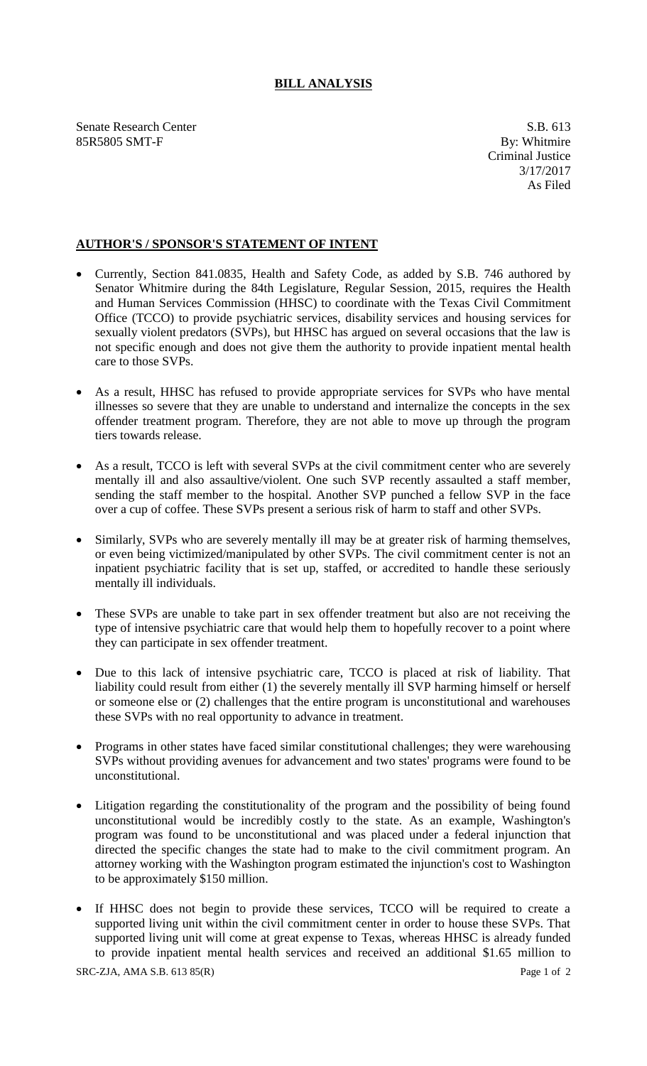## **BILL ANALYSIS**

Senate Research Center S.B. 613<br>
85R5805 SMT-F By: Whitmire 85R5805 SMT-F

## **AUTHOR'S / SPONSOR'S STATEMENT OF INTENT**

- Currently, Section 841.0835, Health and Safety Code, as added by S.B. 746 authored by Senator Whitmire during the 84th Legislature, Regular Session, 2015, requires the Health and Human Services Commission (HHSC) to coordinate with the Texas Civil Commitment Office (TCCO) to provide psychiatric services, disability services and housing services for sexually violent predators (SVPs), but HHSC has argued on several occasions that the law is not specific enough and does not give them the authority to provide inpatient mental health care to those SVPs.
- As a result, HHSC has refused to provide appropriate services for SVPs who have mental illnesses so severe that they are unable to understand and internalize the concepts in the sex offender treatment program. Therefore, they are not able to move up through the program tiers towards release.
- As a result, TCCO is left with several SVPs at the civil commitment center who are severely mentally ill and also assaultive/violent. One such SVP recently assaulted a staff member, sending the staff member to the hospital. Another SVP punched a fellow SVP in the face over a cup of coffee. These SVPs present a serious risk of harm to staff and other SVPs.
- Similarly, SVPs who are severely mentally ill may be at greater risk of harming themselves, or even being victimized/manipulated by other SVPs. The civil commitment center is not an inpatient psychiatric facility that is set up, staffed, or accredited to handle these seriously mentally ill individuals.
- These SVPs are unable to take part in sex offender treatment but also are not receiving the type of intensive psychiatric care that would help them to hopefully recover to a point where they can participate in sex offender treatment.
- Due to this lack of intensive psychiatric care, TCCO is placed at risk of liability. That liability could result from either (1) the severely mentally ill SVP harming himself or herself or someone else or (2) challenges that the entire program is unconstitutional and warehouses these SVPs with no real opportunity to advance in treatment.
- Programs in other states have faced similar constitutional challenges; they were warehousing SVPs without providing avenues for advancement and two states' programs were found to be unconstitutional.
- Litigation regarding the constitutionality of the program and the possibility of being found unconstitutional would be incredibly costly to the state. As an example, Washington's program was found to be unconstitutional and was placed under a federal injunction that directed the specific changes the state had to make to the civil commitment program. An attorney working with the Washington program estimated the injunction's cost to Washington to be approximately \$150 million.
- If HHSC does not begin to provide these services, TCCO will be required to create a supported living unit within the civil commitment center in order to house these SVPs. That supported living unit will come at great expense to Texas, whereas HHSC is already funded to provide inpatient mental health services and received an additional \$1.65 million to

SRC-ZJA, AMA S.B. 613 85(R) Page 1 of 2